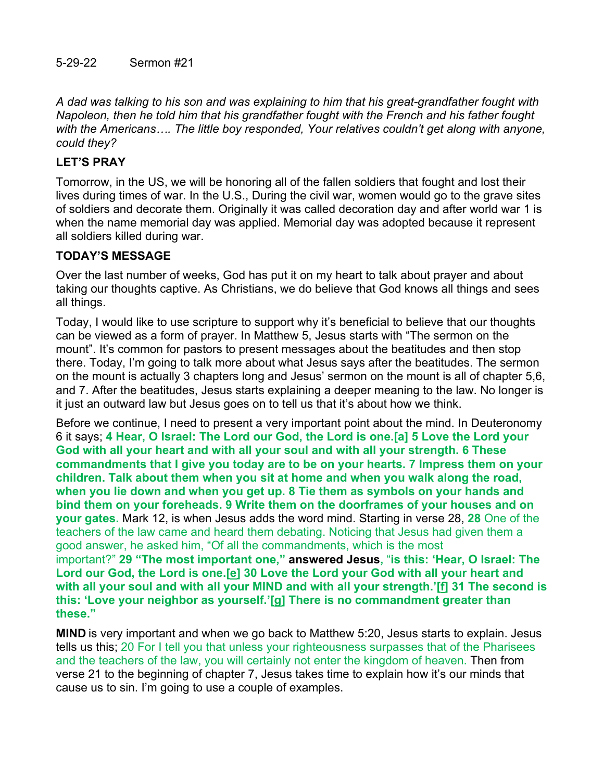*A dad was talking to his son and was explaining to him that his great-grandfather fought with Napoleon, then he told him that his grandfather fought with the French and his father fought with the Americans…. The little boy responded, Your relatives couldn't get along with anyone, could they?*

## **LET'S PRAY**

Tomorrow, in the US, we will be honoring all of the fallen soldiers that fought and lost their lives during times of war. In the U.S., During the civil war, women would go to the grave sites of soldiers and decorate them. Originally it was called decoration day and after world war 1 is when the name memorial day was applied. Memorial day was adopted because it represent all soldiers killed during war.

## **TODAY'S MESSAGE**

Over the last number of weeks, God has put it on my heart to talk about prayer and about taking our thoughts captive. As Christians, we do believe that God knows all things and sees all things.

Today, I would like to use scripture to support why it's beneficial to believe that our thoughts can be viewed as a form of prayer. In Matthew 5, Jesus starts with "The sermon on the mount". It's common for pastors to present messages about the beatitudes and then stop there. Today, I'm going to talk more about what Jesus says after the beatitudes. The sermon on the mount is actually 3 chapters long and Jesus' sermon on the mount is all of chapter 5,6, and 7. After the beatitudes, Jesus starts explaining a deeper meaning to the law. No longer is it just an outward law but Jesus goes on to tell us that it's about how we think.

Before we continue, I need to present a very important point about the mind. In Deuteronomy 6 it says; **4 Hear, O Israel: The Lord our God, the Lord is one.[a] 5 Love the Lord your God with all your heart and with all your soul and with all your strength. 6 These commandments that I give you today are to be on your hearts. 7 Impress them on your children. Talk about them when you sit at home and when you walk along the road, when you lie down and when you get up. 8 Tie them as symbols on your hands and bind them on your foreheads. 9 Write them on the doorframes of your houses and on your gates.** Mark 12, is when Jesus adds the word mind. Starting in verse 28, **28** One of the teachers of the law came and heard them debating. Noticing that Jesus had given them a good answer, he asked him, "Of all the commandments, which is the most important?" **29 "The most important one," answered Jesus,** "**is this: 'Hear, O Israel: The Lord our God, the Lord is one.[\[e](https://www.biblegateway.com/passage/?search=Mark+12&version=NIV#fen-NIV-24703e)] 30 Love the Lord your God with all your heart and with all your soul and with all your MIND and with all your strength.'[[f\]](https://www.biblegateway.com/passage/?search=Mark+12&version=NIV#fen-NIV-24704f) 31 The second is this: 'Love your neighbor as yourself.'[\[g](https://www.biblegateway.com/passage/?search=Mark+12&version=NIV#fen-NIV-24705g)] There is no commandment greater than these."**

**MIND** is very important and when we go back to Matthew 5:20, Jesus starts to explain. Jesus tells us this; 20 For I tell you that unless your righteousness surpasses that of the Pharisees and the teachers of the law, you will certainly not enter the kingdom of heaven. Then from verse 21 to the beginning of chapter 7, Jesus takes time to explain how it's our minds that cause us to sin. I'm going to use a couple of examples.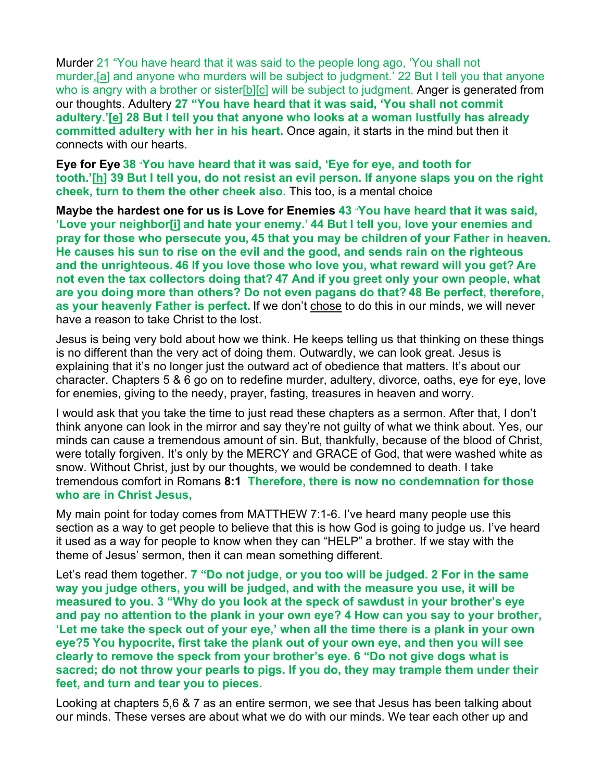Murder 21 "You have heard that it was said to the people long ago, 'You shall not murder,[\[a](https://www.biblegateway.com/passage/?search=Matthew+5&version=NIV#fen-NIV-23256a)] and anyone who murders will be subject to judgment.' 22 But I tell you that anyone who is angry with a brother or sister[\[b](https://www.biblegateway.com/passage/?search=Matthew+5&version=NIV#fen-NIV-23257b)][[c\]](https://www.biblegateway.com/passage/?search=Matthew+5&version=NIV#fen-NIV-23257c) will be subject to judgment. Anger is generated from our thoughts. Adultery **27 "You have heard that it was said, 'You shall not commit adultery.'[\[e\]](https://www.biblegateway.com/passage/?search=Matthew+5&version=NIV#fen-NIV-23262e) 28 But I tell you that anyone who looks at a woman lustfully has already committed adultery with her in his heart.** Once again, it starts in the mind but then it connects with our hearts.

**Eye for Eye 38** "**You have heard that it was said, 'Eye for eye, and tooth for tooth.'[\[h\]](https://www.biblegateway.com/passage/?search=Matthew+5&version=NIV#fen-NIV-23273h) 39 But I tell you, do not resist an evil person. If anyone slaps you on the right cheek, turn to them the other cheek also.** This too, is a mental choice

**Maybe the hardest one for us is Love for Enemies 43** "**You have heard that it was said, 'Love your neighbor[\[i](https://www.biblegateway.com/passage/?search=Matthew+5&version=NIV#fen-NIV-23278i)] and hate your enemy.' 44 But I tell you, love your enemies and pray for those who persecute you, 45 that you may be children of your Father in heaven. He causes his sun to rise on the evil and the good, and sends rain on the righteous and the unrighteous. 46 If you love those who love you, what reward will you get? Are not even the tax collectors doing that? 47 And if you greet only your own people, what are you doing more than others? Do not even pagans do that? 48 Be perfect, therefore, as your heavenly Father is perfect.** If we don't chose to do this in our minds, we will never have a reason to take Christ to the lost.

Jesus is being very bold about how we think. He keeps telling us that thinking on these things is no different than the very act of doing them. Outwardly, we can look great. Jesus is explaining that it's no longer just the outward act of obedience that matters. It's about our character. Chapters 5 & 6 go on to redefine murder, adultery, divorce, oaths, eye for eye, love for enemies, giving to the needy, prayer, fasting, treasures in heaven and worry.

I would ask that you take the time to just read these chapters as a sermon. After that, I don't think anyone can look in the mirror and say they're not guilty of what we think about. Yes, our minds can cause a tremendous amount of sin. But, thankfully, because of the blood of Christ, were totally forgiven. It's only by the MERCY and GRACE of God, that were washed white as snow. Without Christ, just by our thoughts, we would be condemned to death. I take tremendous comfort in Romans **8:1 Therefore, there is now no condemnation for those who are in Christ Jesus,**

My main point for today comes from MATTHEW 7:1-6. I've heard many people use this section as a way to get people to believe that this is how God is going to judge us. I've heard it used as a way for people to know when they can "HELP" a brother. If we stay with the theme of Jesus' sermon, then it can mean something different.

Let's read them together. **7 "Do not judge, or you too will be judged. 2 For in the same way you judge others, you will be judged, and with the measure you use, it will be measured to you. 3 "Why do you look at the speck of sawdust in your brother's eye and pay no attention to the plank in your own eye? 4 How can you say to your brother, 'Let me take the speck out of your eye,' when all the time there is a plank in your own eye?5 You hypocrite, first take the plank out of your own eye, and then you will see clearly to remove the speck from your brother's eye. 6 "Do not give dogs what is sacred; do not throw your pearls to pigs. If you do, they may trample them under their feet, and turn and tear you to pieces.**

Looking at chapters 5,6 & 7 as an entire sermon, we see that Jesus has been talking about our minds. These verses are about what we do with our minds. We tear each other up and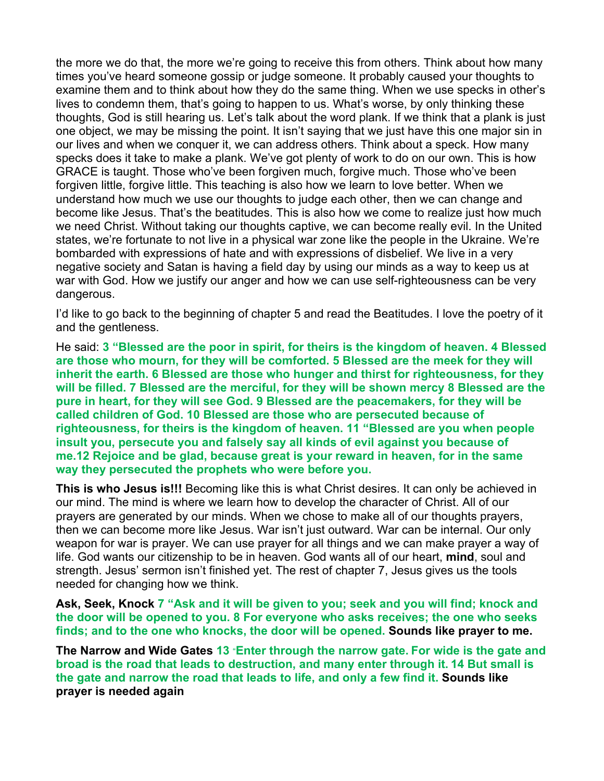the more we do that, the more we're going to receive this from others. Think about how many times you've heard someone gossip or judge someone. It probably caused your thoughts to examine them and to think about how they do the same thing. When we use specks in other's lives to condemn them, that's going to happen to us. What's worse, by only thinking these thoughts, God is still hearing us. Let's talk about the word plank. If we think that a plank is just one object, we may be missing the point. It isn't saying that we just have this one major sin in our lives and when we conquer it, we can address others. Think about a speck. How many specks does it take to make a plank. We've got plenty of work to do on our own. This is how GRACE is taught. Those who've been forgiven much, forgive much. Those who've been forgiven little, forgive little. This teaching is also how we learn to love better. When we understand how much we use our thoughts to judge each other, then we can change and become like Jesus. That's the beatitudes. This is also how we come to realize just how much we need Christ. Without taking our thoughts captive, we can become really evil. In the United states, we're fortunate to not live in a physical war zone like the people in the Ukraine. We're bombarded with expressions of hate and with expressions of disbelief. We live in a very negative society and Satan is having a field day by using our minds as a way to keep us at war with God. How we justify our anger and how we can use self-righteousness can be very dangerous.

I'd like to go back to the beginning of chapter 5 and read the Beatitudes. I love the poetry of it and the gentleness.

He said: **3 "Blessed are the poor in spirit, for theirs is the kingdom of heaven. 4 Blessed are those who mourn, for they will be comforted. 5 Blessed are the meek for they will inherit the earth. 6 Blessed are those who hunger and thirst for righteousness, for they will be filled. 7 Blessed are the merciful, for they will be shown mercy 8 Blessed are the pure in heart, for they will see God. 9 Blessed are the peacemakers, for they will be called children of God. 10 Blessed are those who are persecuted because of righteousness, for theirs is the kingdom of heaven. 11 "Blessed are you when people insult you, persecute you and falsely say all kinds of evil against you because of me.12 Rejoice and be glad, because great is your reward in heaven, for in the same way they persecuted the prophets who were before you.**

**This is who Jesus is!!!** Becoming like this is what Christ desires. It can only be achieved in our mind. The mind is where we learn how to develop the character of Christ. All of our prayers are generated by our minds. When we chose to make all of our thoughts prayers, then we can become more like Jesus. War isn't just outward. War can be internal. Our only weapon for war is prayer. We can use prayer for all things and we can make prayer a way of life. God wants our citizenship to be in heaven. God wants all of our heart, **mind**, soul and strength. Jesus' sermon isn't finished yet. The rest of chapter 7, Jesus gives us the tools needed for changing how we think.

**Ask, Seek, Knock 7 "Ask and it will be given to you; seek and you will find; knock and the door will be opened to you. 8 For everyone who asks receives; the one who seeks finds; and to the one who knocks, the door will be opened. Sounds like prayer to me.**

**The Narrow and Wide Gates 13** "**Enter through the narrow gate. For wide is the gate and broad is the road that leads to destruction, and many enter through it. 14 But small is the gate and narrow the road that leads to life, and only a few find it. Sounds like prayer is needed again**